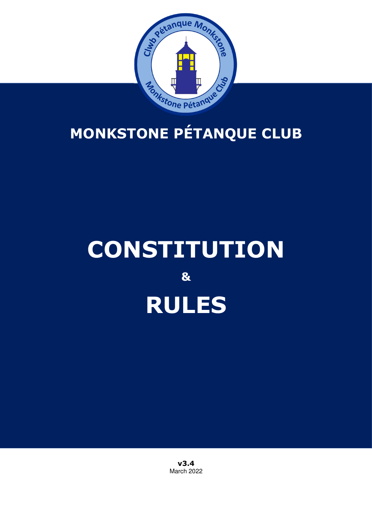

# **MONKSTONE PÉTANQUE CLUB**

# **CONSTITUTION & RULES**

**v3.4**  March 2022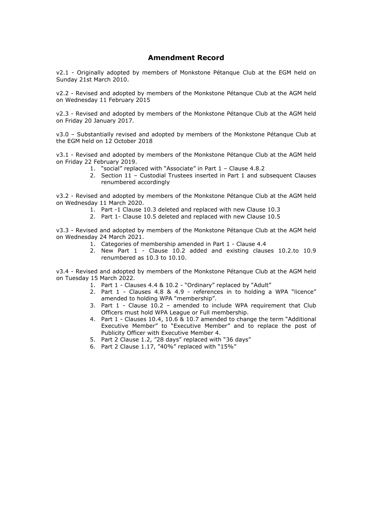#### **Amendment Record**

v2.1 - Originally adopted by members of Monkstone Pétanque Club at the EGM held on Sunday 21st March 2010.

v2.2 - Revised and adopted by members of the Monkstone Pétanque Club at the AGM held on Wednesday 11 February 2015

v2.3 - Revised and adopted by members of the Monkstone Pétanque Club at the AGM held on Friday 20 January 2017.

v3.0 – Substantially revised and adopted by members of the Monkstone Pétanque Club at the EGM held on 12 October 2018

v3.1 - Revised and adopted by members of the Monkstone Pétanque Club at the AGM held on Friday 22 February 2019.

- 1. "social" replaced with "Associate" in Part 1 Clause 4.8.2
- 2. Section 11 Custodial Trustees inserted in Part 1 and subsequent Clauses renumbered accordingly

v3.2 - Revised and adopted by members of the Monkstone Pétanque Club at the AGM held on Wednesday 11 March 2020.

- 1. Part -1 Clause 10.3 deleted and replaced with new Clause 10.3
- 2. Part 1- Clause 10.5 deleted and replaced with new Clause 10.5

v3.3 - Revised and adopted by members of the Monkstone Pétanque Club at the AGM held on Wednesday 24 March 2021.

- 1. Categories of membership amended in Part 1 Clause 4.4
- 2. New Part 1 Clause 10.2 added and existing clauses 10.2.to 10.9 renumbered as 10.3 to 10.10.

v3.4 - Revised and adopted by members of the Monkstone Pétanque Club at the AGM held on Tuesday 15 March 2022.

- 1. Part 1 Clauses 4.4 & 10.2 "Ordinary" replaced by "Adult"
- 2. Part 1 Clauses 4.8 & 4.9 references in to holding a WPA "licence" amended to holding WPA "membership".
- 3. Part 1 Clause  $10.2$  amended to include WPA requirement that Club Officers must hold WPA League or Full membership.
- 4. Part 1 Clauses 10.4, 10.6 & 10.7 amended to change the term "Additional Executive Member" to "Executive Member" and to replace the post of Publicity Officer with Executive Member 4.
- 5. Part 2 Clause 1.2, "28 days" replaced with "36 days"
- 6. Part 2 Clause 1.17, "40%" replaced with "15%"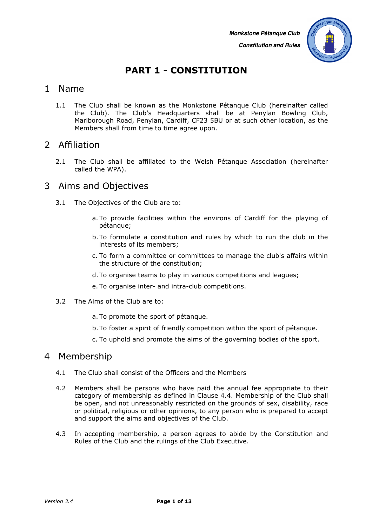

# **PART 1 - CONSTITUTION**

#### 1 Name

1.1 The Club shall be known as the Monkstone Pétanque Club (hereinafter called the Club). The Club's Headquarters shall be at Penylan Bowling Club, Marlborough Road, Penylan, Cardiff, CF23 5BU or at such other location, as the Members shall from time to time agree upon.

#### 2 Affiliation

2.1 The Club shall be affiliated to the Welsh Pétanque Association (hereinafter called the WPA).

#### 3 Aims and Objectives

- 3.1 The Objectives of the Club are to:
	- a. To provide facilities within the environs of Cardiff for the playing of pétanque;
	- b.To formulate a constitution and rules by which to run the club in the interests of its members;
	- c. To form a committee or committees to manage the club's affairs within the structure of the constitution;
	- d.To organise teams to play in various competitions and leagues;
	- e. To organise inter- and intra-club competitions.
- 3.2 The Aims of the Club are to:
	- a. To promote the sport of pétanque.
	- b.To foster a spirit of friendly competition within the sport of pétanque.
	- c. To uphold and promote the aims of the governing bodies of the sport.

#### 4 Membership

- 4.1 The Club shall consist of the Officers and the Members
- 4.2 Members shall be persons who have paid the annual fee appropriate to their category of membership as defined in Clause 4.4. Membership of the Club shall be open, and not unreasonably restricted on the grounds of sex, disability, race or political, religious or other opinions, to any person who is prepared to accept and support the aims and objectives of the Club.
- 4.3 In accepting membership, a person agrees to abide by the Constitution and Rules of the Club and the rulings of the Club Executive.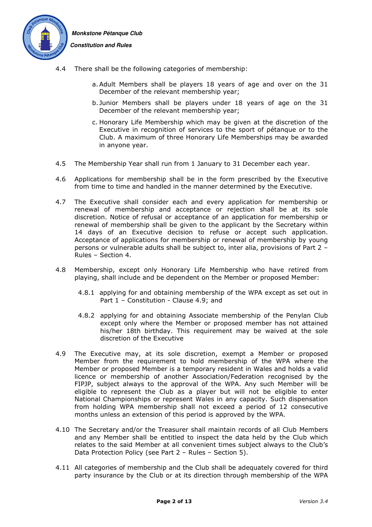

 **Constitution and Rules** 

- 4.4 There shall be the following categories of membership:
	- a.Adult Members shall be players 18 years of age and over on the 31 December of the relevant membership year;
	- b. Junior Members shall be players under 18 years of age on the 31 December of the relevant membership year;
	- c. Honorary Life Membership which may be given at the discretion of the Executive in recognition of services to the sport of pétanque or to the Club. A maximum of three Honorary Life Memberships may be awarded in anyone year.
- 4.5 The Membership Year shall run from 1 January to 31 December each year.
- 4.6 Applications for membership shall be in the form prescribed by the Executive from time to time and handled in the manner determined by the Executive.
- 4.7 The Executive shall consider each and every application for membership or renewal of membership and acceptance or rejection shall be at its sole discretion. Notice of refusal or acceptance of an application for membership or renewal of membership shall be given to the applicant by the Secretary within 14 days of an Executive decision to refuse or accept such application. Acceptance of applications for membership or renewal of membership by young persons or vulnerable adults shall be subject to, inter alia, provisions of Part 2 – Rules – Section 4.
- 4.8 Membership, except only Honorary Life Membership who have retired from playing, shall include and be dependent on the Member or proposed Member:
	- 4.8.1 applying for and obtaining membership of the WPA except as set out in Part 1 - Constitution - Clause 4.9; and
	- 4.8.2 applying for and obtaining Associate membership of the Penylan Club except only where the Member or proposed member has not attained his/her 18th birthday. This requirement may be waived at the sole discretion of the Executive
- 4.9 The Executive may, at its sole discretion, exempt a Member or proposed Member from the requirement to hold membership of the WPA where the Member or proposed Member is a temporary resident in Wales and holds a valid licence or membership of another Association/Federation recognised by the FIPJP, subject always to the approval of the WPA. Any such Member will be eligible to represent the Club as a player but will not be eligible to enter National Championships or represent Wales in any capacity. Such dispensation from holding WPA membership shall not exceed a period of 12 consecutive months unless an extension of this period is approved by the WPA.
- 4.10 The Secretary and/or the Treasurer shall maintain records of all Club Members and any Member shall be entitled to inspect the data held by the Club which relates to the said Member at all convenient times subject always to the Club's Data Protection Policy (see Part 2 – Rules – Section 5).
- 4.11 All categories of membership and the Club shall be adequately covered for third party insurance by the Club or at its direction through membership of the WPA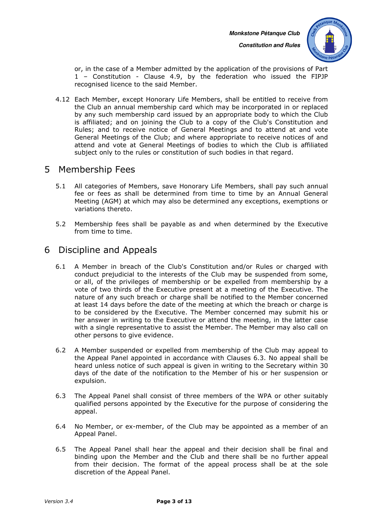

or, in the case of a Member admitted by the application of the provisions of Part 1 – Constitution - Clause 4.9, by the federation who issued the FIPJP recognised licence to the said Member.

4.12 Each Member, except Honorary Life Members, shall be entitled to receive from the Club an annual membership card which may be incorporated in or replaced by any such membership card issued by an appropriate body to which the Club is affiliated; and on joining the Club to a copy of the Club's Constitution and Rules; and to receive notice of General Meetings and to attend at and vote General Meetings of the Club; and where appropriate to receive notices of and attend and vote at General Meetings of bodies to which the Club is affiliated subject only to the rules or constitution of such bodies in that regard.

#### 5 Membership Fees

- 5.1 All categories of Members, save Honorary Life Members, shall pay such annual fee or fees as shall be determined from time to time by an Annual General Meeting (AGM) at which may also be determined any exceptions, exemptions or variations thereto.
- 5.2 Membership fees shall be payable as and when determined by the Executive from time to time.

# 6 Discipline and Appeals

- 6.1 A Member in breach of the Club's Constitution and/or Rules or charged with conduct prejudicial to the interests of the Club may be suspended from some, or all, of the privileges of membership or be expelled from membership by a vote of two thirds of the Executive present at a meeting of the Executive. The nature of any such breach or charge shall be notified to the Member concerned at least 14 days before the date of the meeting at which the breach or charge is to be considered by the Executive. The Member concerned may submit his or her answer in writing to the Executive or attend the meeting, in the latter case with a single representative to assist the Member. The Member may also call on other persons to give evidence.
- 6.2 A Member suspended or expelled from membership of the Club may appeal to the Appeal Panel appointed in accordance with Clauses 6.3. No appeal shall be heard unless notice of such appeal is given in writing to the Secretary within 30 days of the date of the notification to the Member of his or her suspension or expulsion.
- 6.3 The Appeal Panel shall consist of three members of the WPA or other suitably qualified persons appointed by the Executive for the purpose of considering the appeal.
- 6.4 No Member, or ex-member, of the Club may be appointed as a member of an Appeal Panel.
- 6.5 The Appeal Panel shall hear the appeal and their decision shall be final and binding upon the Member and the Club and there shall be no further appeal from their decision. The format of the appeal process shall be at the sole discretion of the Appeal Panel.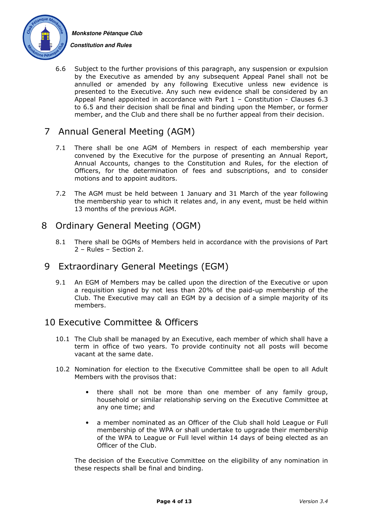



6.6 Subject to the further provisions of this paragraph, any suspension or expulsion by the Executive as amended by any subsequent Appeal Panel shall not be annulled or amended by any following Executive unless new evidence is presented to the Executive. Any such new evidence shall be considered by an Appeal Panel appointed in accordance with Part  $1$  – Constitution - Clauses 6.3 to 6.5 and their decision shall be final and binding upon the Member, or former member, and the Club and there shall be no further appeal from their decision.

# 7 Annual General Meeting (AGM)

- 7.1 There shall be one AGM of Members in respect of each membership year convened by the Executive for the purpose of presenting an Annual Report, Annual Accounts, changes to the Constitution and Rules, for the election of Officers, for the determination of fees and subscriptions, and to consider motions and to appoint auditors.
- 7.2 The AGM must be held between 1 January and 31 March of the year following the membership year to which it relates and, in any event, must be held within 13 months of the previous AGM.

# 8 Ordinary General Meeting (OGM)

8.1 There shall be OGMs of Members held in accordance with the provisions of Part 2 – Rules – Section 2.

#### 9 Extraordinary General Meetings (EGM)

9.1 An EGM of Members may be called upon the direction of the Executive or upon a requisition signed by not less than 20% of the paid-up membership of the Club. The Executive may call an EGM by a decision of a simple majority of its members.

# 10 Executive Committee & Officers

- 10.1 The Club shall be managed by an Executive, each member of which shall have a term in office of two years. To provide continuity not all posts will become vacant at the same date.
- 10.2 Nomination for election to the Executive Committee shall be open to all Adult Members with the provisos that:
	- there shall not be more than one member of any family group, household or similar relationship serving on the Executive Committee at any one time; and
	- a member nominated as an Officer of the Club shall hold League or Full membership of the WPA or shall undertake to upgrade their membership of the WPA to League or Full level within 14 days of being elected as an Officer of the Club.

The decision of the Executive Committee on the eligibility of any nomination in these respects shall be final and binding.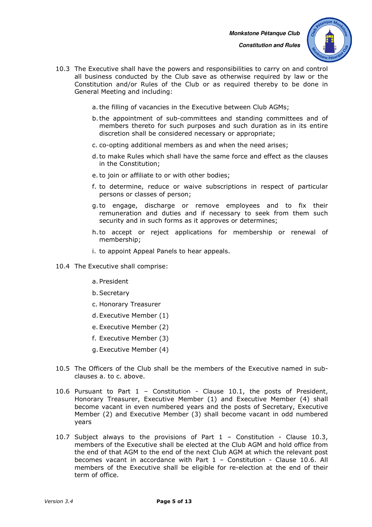

- 10.3 The Executive shall have the powers and responsibilities to carry on and control all business conducted by the Club save as otherwise required by law or the Constitution and/or Rules of the Club or as required thereby to be done in General Meeting and including:
	- a.the filling of vacancies in the Executive between Club AGMs;
	- b.the appointment of sub-committees and standing committees and of members thereto for such purposes and such duration as in its entire discretion shall be considered necessary or appropriate;
	- c. co-opting additional members as and when the need arises;
	- d.to make Rules which shall have the same force and effect as the clauses in the Constitution;
	- e.to join or affiliate to or with other bodies;
	- f. to determine, reduce or waive subscriptions in respect of particular persons or classes of person;
	- g.to engage, discharge or remove employees and to fix their remuneration and duties and if necessary to seek from them such security and in such forms as it approves or determines;
	- h.to accept or reject applications for membership or renewal of membership;
	- i. to appoint Appeal Panels to hear appeals.
- 10.4 The Executive shall comprise:
	- a. President
	- b.Secretary
	- c. Honorary Treasurer
	- d.Executive Member (1)
	- e. Executive Member (2)
	- f. Executive Member (3)
	- g.Executive Member (4)
- 10.5 The Officers of the Club shall be the members of the Executive named in subclauses a. to c. above.
- 10.6 Pursuant to Part 1 Constitution Clause 10.1, the posts of President, Honorary Treasurer, Executive Member (1) and Executive Member (4) shall become vacant in even numbered years and the posts of Secretary, Executive Member (2) and Executive Member (3) shall become vacant in odd numbered years
- 10.7 Subject always to the provisions of Part 1 Constitution Clause 10.3, members of the Executive shall be elected at the Club AGM and hold office from the end of that AGM to the end of the next Club AGM at which the relevant post becomes vacant in accordance with Part 1 – Constitution - Clause 10.6. All members of the Executive shall be eligible for re-election at the end of their term of office.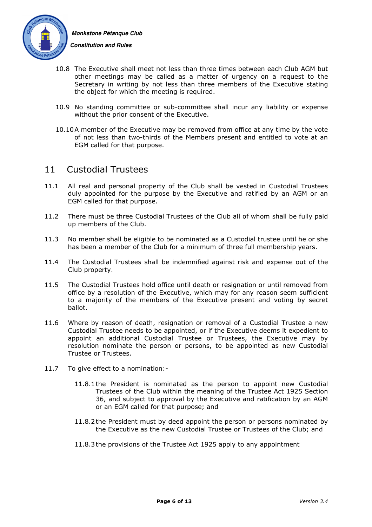

 **Constitution and Rules** 

- 10.8 The Executive shall meet not less than three times between each Club AGM but other meetings may be called as a matter of urgency on a request to the Secretary in writing by not less than three members of the Executive stating the object for which the meeting is required.
- 10.9 No standing committee or sub-committee shall incur any liability or expense without the prior consent of the Executive.
- 10.10A member of the Executive may be removed from office at any time by the vote of not less than two-thirds of the Members present and entitled to vote at an EGM called for that purpose.

#### 11 Custodial Trustees

- 11.1 All real and personal property of the Club shall be vested in Custodial Trustees duly appointed for the purpose by the Executive and ratified by an AGM or an EGM called for that purpose.
- 11.2 There must be three Custodial Trustees of the Club all of whom shall be fully paid up members of the Club.
- 11.3 No member shall be eligible to be nominated as a Custodial trustee until he or she has been a member of the Club for a minimum of three full membership years.
- 11.4 The Custodial Trustees shall be indemnified against risk and expense out of the Club property.
- 11.5 The Custodial Trustees hold office until death or resignation or until removed from office by a resolution of the Executive, which may for any reason seem sufficient to a majority of the members of the Executive present and voting by secret ballot.
- 11.6 Where by reason of death, resignation or removal of a Custodial Trustee a new Custodial Trustee needs to be appointed, or if the Executive deems it expedient to appoint an additional Custodial Trustee or Trustees, the Executive may by resolution nominate the person or persons, to be appointed as new Custodial Trustee or Trustees.
- 11.7 To give effect to a nomination:-
	- 11.8.1the President is nominated as the person to appoint new Custodial Trustees of the Club within the meaning of the Trustee Act 1925 Section 36, and subject to approval by the Executive and ratification by an AGM or an EGM called for that purpose; and
	- 11.8.2the President must by deed appoint the person or persons nominated by the Executive as the new Custodial Trustee or Trustees of the Club; and
	- 11.8.3the provisions of the Trustee Act 1925 apply to any appointment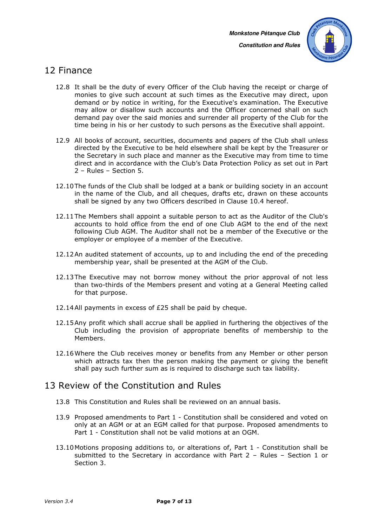

#### 12 Finance

- 12.8 It shall be the duty of every Officer of the Club having the receipt or charge of monies to give such account at such times as the Executive may direct, upon demand or by notice in writing, for the Executive's examination. The Executive may allow or disallow such accounts and the Officer concerned shall on such demand pay over the said monies and surrender all property of the Club for the time being in his or her custody to such persons as the Executive shall appoint.
- 12.9 All books of account, securities, documents and papers of the Club shall unless directed by the Executive to be held elsewhere shall be kept by the Treasurer or the Secretary in such place and manner as the Executive may from time to time direct and in accordance with the Club's Data Protection Policy as set out in Part 2 – Rules – Section 5.
- 12.10The funds of the Club shall be lodged at a bank or building society in an account in the name of the Club, and all cheques, drafts etc, drawn on these accounts shall be signed by any two Officers described in Clause 10.4 hereof.
- 12.11The Members shall appoint a suitable person to act as the Auditor of the Club's accounts to hold office from the end of one Club AGM to the end of the next following Club AGM. The Auditor shall not be a member of the Executive or the employer or employee of a member of the Executive.
- 12.12An audited statement of accounts, up to and including the end of the preceding membership year, shall be presented at the AGM of the Club.
- 12.13The Executive may not borrow money without the prior approval of not less than two-thirds of the Members present and voting at a General Meeting called for that purpose.
- 12.14All payments in excess of £25 shall be paid by cheque.
- 12.15Any profit which shall accrue shall be applied in furthering the objectives of the Club including the provision of appropriate benefits of membership to the Members.
- 12.16Where the Club receives money or benefits from any Member or other person which attracts tax then the person making the payment or giving the benefit shall pay such further sum as is required to discharge such tax liability.

#### 13 Review of the Constitution and Rules

- 13.8 This Constitution and Rules shall be reviewed on an annual basis.
- 13.9 Proposed amendments to Part 1 Constitution shall be considered and voted on only at an AGM or at an EGM called for that purpose. Proposed amendments to Part 1 - Constitution shall not be valid motions at an OGM.
- 13.10Motions proposing additions to, or alterations of, Part 1 Constitution shall be submitted to the Secretary in accordance with Part 2 – Rules – Section 1 or Section 3.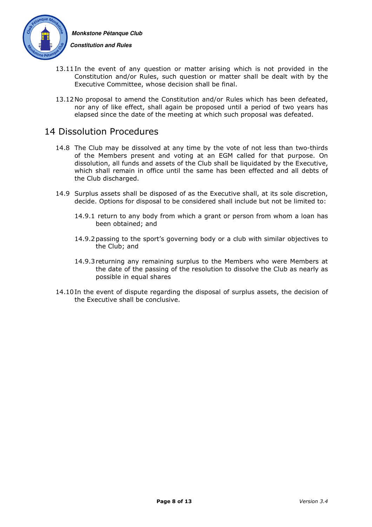

 **Constitution and Rules** 

- 13.11In the event of any question or matter arising which is not provided in the Constitution and/or Rules, such question or matter shall be dealt with by the Executive Committee, whose decision shall be final.
- 13.12No proposal to amend the Constitution and/or Rules which has been defeated, nor any of like effect, shall again be proposed until a period of two years has elapsed since the date of the meeting at which such proposal was defeated.

#### 14 Dissolution Procedures

- 14.8 The Club may be dissolved at any time by the vote of not less than two-thirds of the Members present and voting at an EGM called for that purpose. On dissolution, all funds and assets of the Club shall be liquidated by the Executive, which shall remain in office until the same has been effected and all debts of the Club discharged.
- 14.9 Surplus assets shall be disposed of as the Executive shall, at its sole discretion, decide. Options for disposal to be considered shall include but not be limited to:
	- 14.9.1 return to any body from which a grant or person from whom a loan has been obtained; and
	- 14.9.2passing to the sport's governing body or a club with similar objectives to the Club; and
	- 14.9.3returning any remaining surplus to the Members who were Members at the date of the passing of the resolution to dissolve the Club as nearly as possible in equal shares
- 14.10In the event of dispute regarding the disposal of surplus assets, the decision of the Executive shall be conclusive.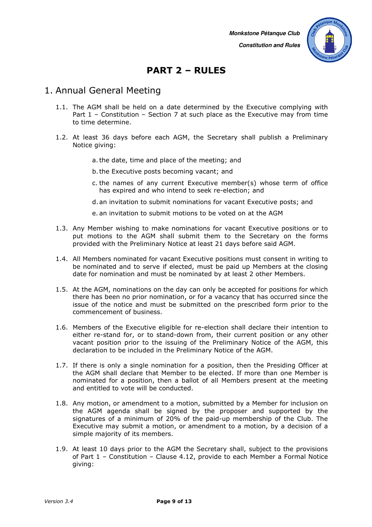**Constitution and Rules** 

# **PART 2 – RULES**

#### 1. Annual General Meeting

- 1.1. The AGM shall be held on a date determined by the Executive complying with Part 1 – Constitution – Section 7 at such place as the Executive may from time to time determine.
- 1.2. At least 36 days before each AGM, the Secretary shall publish a Preliminary Notice giving:
	- a.the date, time and place of the meeting; and
	- b.the Executive posts becoming vacant; and
	- c. the names of any current Executive member(s) whose term of office has expired and who intend to seek re-election; and
	- d.an invitation to submit nominations for vacant Executive posts; and
	- e. an invitation to submit motions to be voted on at the AGM
- 1.3. Any Member wishing to make nominations for vacant Executive positions or to put motions to the AGM shall submit them to the Secretary on the forms provided with the Preliminary Notice at least 21 days before said AGM.
- 1.4. All Members nominated for vacant Executive positions must consent in writing to be nominated and to serve if elected, must be paid up Members at the closing date for nomination and must be nominated by at least 2 other Members.
- 1.5. At the AGM, nominations on the day can only be accepted for positions for which there has been no prior nomination, or for a vacancy that has occurred since the issue of the notice and must be submitted on the prescribed form prior to the commencement of business.
- 1.6. Members of the Executive eligible for re-election shall declare their intention to either re-stand for, or to stand-down from, their current position or any other vacant position prior to the issuing of the Preliminary Notice of the AGM, this declaration to be included in the Preliminary Notice of the AGM.
- 1.7. If there is only a single nomination for a position, then the Presiding Officer at the AGM shall declare that Member to be elected. If more than one Member is nominated for a position, then a ballot of all Members present at the meeting and entitled to vote will be conducted.
- 1.8. Any motion, or amendment to a motion, submitted by a Member for inclusion on the AGM agenda shall be signed by the proposer and supported by the signatures of a minimum of 20% of the paid-up membership of the Club. The Executive may submit a motion, or amendment to a motion, by a decision of a simple majority of its members.
- 1.9. At least 10 days prior to the AGM the Secretary shall, subject to the provisions of Part 1 – Constitution – Clause 4.12, provide to each Member a Formal Notice giving: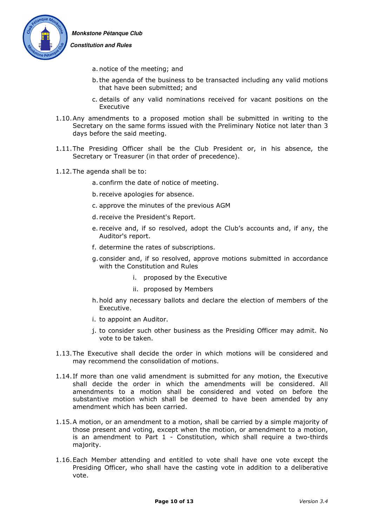

#### **Constitution and Rules**

- a. notice of the meeting; and
- b.the agenda of the business to be transacted including any valid motions that have been submitted; and
- c. details of any valid nominations received for vacant positions on the Executive
- 1.10.Any amendments to a proposed motion shall be submitted in writing to the Secretary on the same forms issued with the Preliminary Notice not later than 3 days before the said meeting.
- 1.11.The Presiding Officer shall be the Club President or, in his absence, the Secretary or Treasurer (in that order of precedence).
- 1.12.The agenda shall be to:
	- a. confirm the date of notice of meeting.
	- b. receive apologies for absence.
	- c. approve the minutes of the previous AGM
	- d. receive the President's Report.
	- e. receive and, if so resolved, adopt the Club's accounts and, if any, the Auditor's report.
	- f. determine the rates of subscriptions.
	- g. consider and, if so resolved, approve motions submitted in accordance with the Constitution and Rules
		- i. proposed by the Executive
		- ii. proposed by Members
	- h.hold any necessary ballots and declare the election of members of the Executive.
	- i. to appoint an Auditor.
	- j. to consider such other business as the Presiding Officer may admit. No vote to be taken.
- 1.13.The Executive shall decide the order in which motions will be considered and may recommend the consolidation of motions.
- 1.14.If more than one valid amendment is submitted for any motion, the Executive shall decide the order in which the amendments will be considered. All amendments to a motion shall be considered and voted on before the substantive motion which shall be deemed to have been amended by any amendment which has been carried.
- 1.15.A motion, or an amendment to a motion, shall be carried by a simple majority of those present and voting, except when the motion, or amendment to a motion, is an amendment to Part 1 - Constitution, which shall require a two-thirds majority.
- 1.16.Each Member attending and entitled to vote shall have one vote except the Presiding Officer, who shall have the casting vote in addition to a deliberative vote.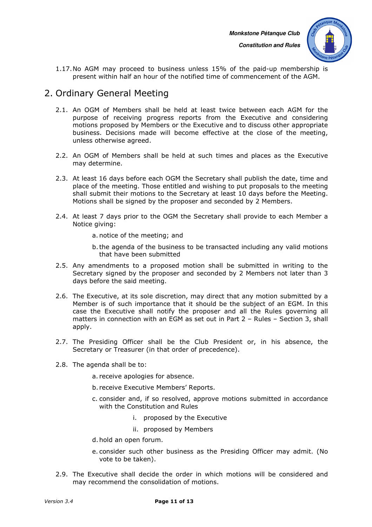

 **Constitution and Rules** 

1.17.No AGM may proceed to business unless 15% of the paid-up membership is present within half an hour of the notified time of commencement of the AGM.

# 2. Ordinary General Meeting

- 2.1. An OGM of Members shall be held at least twice between each AGM for the purpose of receiving progress reports from the Executive and considering motions proposed by Members or the Executive and to discuss other appropriate business. Decisions made will become effective at the close of the meeting, unless otherwise agreed.
- 2.2. An OGM of Members shall be held at such times and places as the Executive may determine.
- 2.3. At least 16 days before each OGM the Secretary shall publish the date, time and place of the meeting. Those entitled and wishing to put proposals to the meeting shall submit their motions to the Secretary at least 10 days before the Meeting. Motions shall be signed by the proposer and seconded by 2 Members.
- 2.4. At least 7 days prior to the OGM the Secretary shall provide to each Member a Notice giving:
	- a. notice of the meeting; and
	- b.the agenda of the business to be transacted including any valid motions that have been submitted
- 2.5. Any amendments to a proposed motion shall be submitted in writing to the Secretary signed by the proposer and seconded by 2 Members not later than 3 days before the said meeting.
- 2.6. The Executive, at its sole discretion, may direct that any motion submitted by a Member is of such importance that it should be the subject of an EGM. In this case the Executive shall notify the proposer and all the Rules governing all matters in connection with an EGM as set out in Part 2 – Rules – Section 3, shall apply.
- 2.7. The Presiding Officer shall be the Club President or, in his absence, the Secretary or Treasurer (in that order of precedence).
- 2.8. The agenda shall be to:
	- a. receive apologies for absence.
	- b. receive Executive Members' Reports.
	- c. consider and, if so resolved, approve motions submitted in accordance with the Constitution and Rules
		- i. proposed by the Executive
		- ii. proposed by Members
	- d.hold an open forum.
	- e. consider such other business as the Presiding Officer may admit. (No vote to be taken).
- 2.9. The Executive shall decide the order in which motions will be considered and may recommend the consolidation of motions.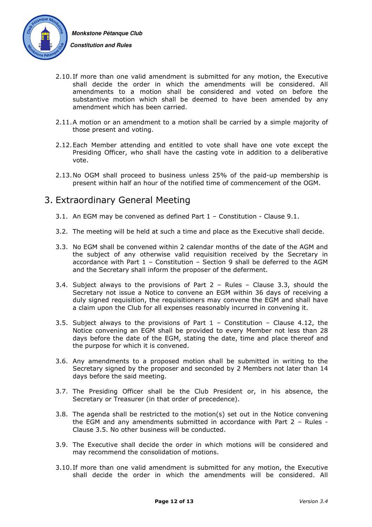

- 2.10.If more than one valid amendment is submitted for any motion, the Executive shall decide the order in which the amendments will be considered. All amendments to a motion shall be considered and voted on before the substantive motion which shall be deemed to have been amended by any amendment which has been carried.
- 2.11.A motion or an amendment to a motion shall be carried by a simple majority of those present and voting.
- 2.12.Each Member attending and entitled to vote shall have one vote except the Presiding Officer, who shall have the casting vote in addition to a deliberative vote.
- 2.13.No OGM shall proceed to business unless 25% of the paid-up membership is present within half an hour of the notified time of commencement of the OGM.

#### 3. Extraordinary General Meeting

- 3.1. An EGM may be convened as defined Part 1 Constitution Clause 9.1.
- 3.2. The meeting will be held at such a time and place as the Executive shall decide.
- 3.3. No EGM shall be convened within 2 calendar months of the date of the AGM and the subject of any otherwise valid requisition received by the Secretary in accordance with Part 1 – Constitution – Section 9 shall be deferred to the AGM and the Secretary shall inform the proposer of the deferment.
- 3.4. Subject always to the provisions of Part 2 Rules Clause 3.3, should the Secretary not issue a Notice to convene an EGM within 36 days of receiving a duly signed requisition, the requisitioners may convene the EGM and shall have a claim upon the Club for all expenses reasonably incurred in convening it.
- 3.5. Subject always to the provisions of Part  $1$  Constitution Clause 4.12, the Notice convening an EGM shall be provided to every Member not less than 28 days before the date of the EGM, stating the date, time and place thereof and the purpose for which it is convened.
- 3.6. Any amendments to a proposed motion shall be submitted in writing to the Secretary signed by the proposer and seconded by 2 Members not later than 14 days before the said meeting.
- 3.7. The Presiding Officer shall be the Club President or, in his absence, the Secretary or Treasurer (in that order of precedence).
- 3.8. The agenda shall be restricted to the motion(s) set out in the Notice convening the EGM and any amendments submitted in accordance with Part 2 – Rules - Clause 3.5. No other business will be conducted.
- 3.9. The Executive shall decide the order in which motions will be considered and may recommend the consolidation of motions.
- 3.10.If more than one valid amendment is submitted for any motion, the Executive shall decide the order in which the amendments will be considered. All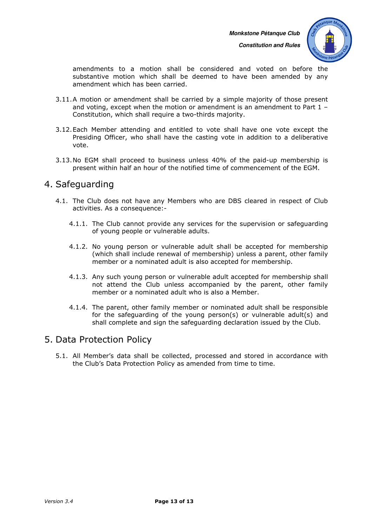**Constitution and Rules** 



amendments to a motion shall be considered and voted on before the substantive motion which shall be deemed to have been amended by any amendment which has been carried.

- 3.11.A motion or amendment shall be carried by a simple majority of those present and voting, except when the motion or amendment is an amendment to Part 1 – Constitution, which shall require a two-thirds majority.
- 3.12.Each Member attending and entitled to vote shall have one vote except the Presiding Officer, who shall have the casting vote in addition to a deliberative vote.
- 3.13.No EGM shall proceed to business unless 40% of the paid-up membership is present within half an hour of the notified time of commencement of the EGM.

#### 4. Safeguarding

- 4.1. The Club does not have any Members who are DBS cleared in respect of Club activities. As a consequence:-
	- 4.1.1. The Club cannot provide any services for the supervision or safeguarding of young people or vulnerable adults.
	- 4.1.2. No young person or vulnerable adult shall be accepted for membership (which shall include renewal of membership) unless a parent, other family member or a nominated adult is also accepted for membership.
	- 4.1.3. Any such young person or vulnerable adult accepted for membership shall not attend the Club unless accompanied by the parent, other family member or a nominated adult who is also a Member.
	- 4.1.4. The parent, other family member or nominated adult shall be responsible for the safeguarding of the young person(s) or vulnerable adult(s) and shall complete and sign the safeguarding declaration issued by the Club.

#### 5. Data Protection Policy

5.1. All Member's data shall be collected, processed and stored in accordance with the Club's Data Protection Policy as amended from time to time.